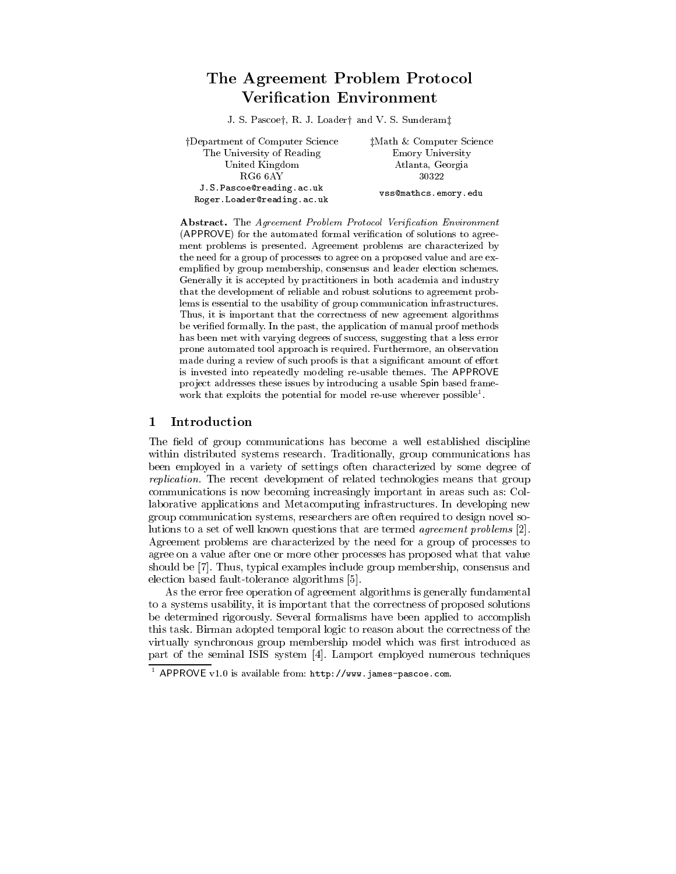# The Agreement Problem Protocol

J. S. Pascoe†, R. J. Loader† and V. S. Sunderam‡

| <sup>†</sup> Department of Computer Science | tMath & Computer Science |
|---------------------------------------------|--------------------------|
| The University of Reading                   | Emory University         |
| United Kingdom                              | Atlanta, Georgia         |
| RG66AY                                      | 30322                    |
| J.S.Pascoe@reading.ac.uk                    | vss@mathcs.emory.edu     |
| Roger.Loader@reading.ac.uk                  |                          |

Abstract. The Agreement Problem Protocol Verification Environment (APPROVE) for the automated formal verification of solutions to agreement problems is presented. Agreement problems are characterized by the need for a group of processes to agree on a proposed value and are exemplied by group membership, consensus and leader election schemes. Generally it is accepted by practitioners in both academia and industry that the development of reliable and robust solutions to agreement problems is essential to the usability of group communication infrastructures. Thus, it is important that the correctness of new agreement algorithms be veried formally. In the past, the application of manual proof methods has been met with varying degrees of success, suggesting that a less error prone automated tool approach is required. Furthermore, an observation made during a review of such proofs is that a significant amount of effort is invested into repeatedly modeling re-usable themes. The APPROVE pro ject addresses these issues by introducing a usable Spin based frame work that exploits the potential for model re-use wherever possible .

# 1 Introduction

The field of group communications has become a well established discipline within distributed systems research. Traditionally, group communications has been employed in a variety of settings often characterized by some degree of replication. The recent development of related technologies means that group communications is now becoming increasingly important in areas such as: Collaborative applications and Metacomputing infrastructures. In developing new group communication systems, researchers are often required to design novel solutions to a set of well known questions that are termed agreement problems [2]. Agreement problems are characterized by the need for a group of processes to agree on a value after one or more other processes has proposed what that value should be [7]. Thus, typical examples include group membership, consensus and election based fault-tolerance algorithms [5].

As the error free operation of agreement algorithms is generally fundamental to a systems usability, it is important that the correctness of proposed solutions be determined rigorously. Several formalisms have been applied to accomplish this task. Birman adopted temporal logic to reason about the correctness of the virtually synchronous group membership model which was first introduced as part of the seminal ISIS system [4]. Lamport employed numerous techniques

<sup>1</sup> APPROVE v1.0 is available from: http://www.james-pascoe.com.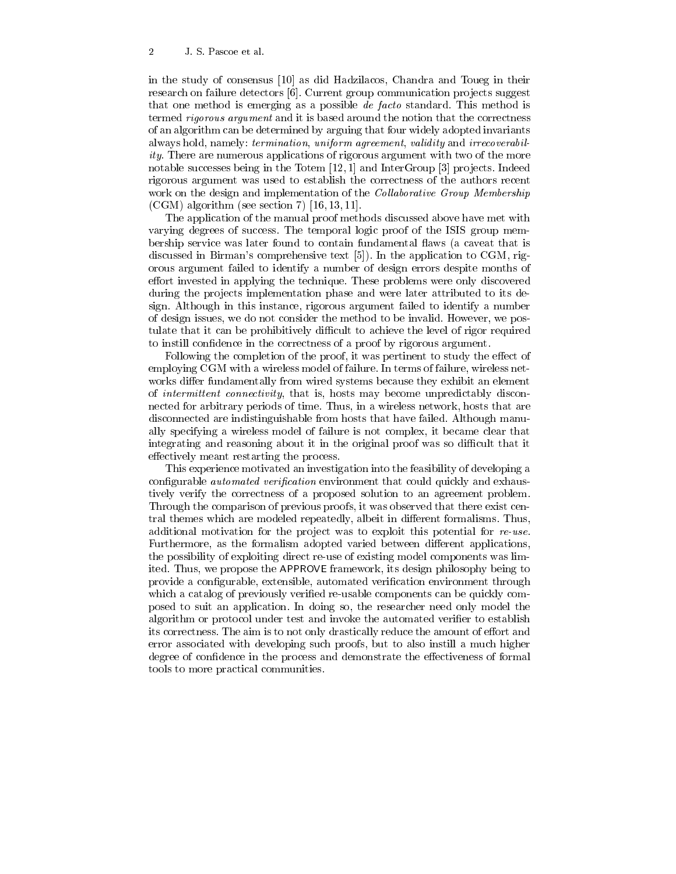in the study of consensus [10] as did Hadzilacos, Chandra and Toueg in their research on failure detectors [6]. Current group communication projects suggest that one method is emerging as a possible de facto standard. This method is termed rigorous argument and it is based around the notion that the correctness of an algorithm can be determined by arguing that four widely adopted invariants always hold, namely: termination, uniform agreement, validity and irrecoverability. There are numerous applications of rigorous argument with two of the more notable successes being in the Totem  $[12, 1]$  and InterGroup  $[3]$  projects. Indeed rigorous argument was used to establish the correctness of the authors recent work on the design and implementation of the Collaborative Group Membership (CGM) algorithm (see section 7) [16, 13, 11].

The application of the manual proof methods discussed above have met with varying degrees of success. The temporal logic proof of the ISIS group membership service was later found to contain fundamental flaws (a caveat that is discussed in Birman's comprehensive text [5]). In the application to CGM, rigorous argument failed to identify a number of design errors despite months of effort invested in applying the technique. These problems were only discovered during the projects implementation phase and were later attributed to its design. Although in this instance, rigorous argument failed to identify a number of design issues, we do not consider the method to be invalid. However, we postulate that it can be prohibitively difficult to achieve the level of rigor required to instill condence in the correctness of a proof by rigorous argument.

Following the completion of the proof, it was pertinent to study the effect of employing CGM with a wireless model of failure. In terms of failure, wireless net works differ fundamentally from wired systems because they exhibit an element of intermittent connectivity, that is, hosts may become unpredictably disconnected for arbitrary periods of time. Thus, in a wireless network, hosts that are disconnected are indistinguishable from hosts that have failed. Although manually specifying a wireless model of failure is not complex, it became clear that integrating and reasoning about it in the original proof was so difficult that it effectively meant restarting the process.

This experience motivated an investigation into the feasibility of developing a configurable *automated verification* environment that could quickly and exhaustively verify the correctness of a proposed solution to an agreement problem. Through the comparison of previous proofs, it was observed that there exist central themes which are modeled repeatedly, albeit in different formalisms. Thus, additional motivation for the project was to exploit this potential for re-use. Furthermore, as the formalism adopted varied between different applications, the possibility of exploiting direct re-use of existing model components was limited. Thus, we propose the APPROVE framework, its design philosophy being to provide a configurable, extensible, automated verification environment through which a catalog of previously verified re-usable components can be quickly composed to suit an application. In doing so, the researcher need only model the algorithm or protocol under test and invoke the automated verifier to establish its correctness. The aim is to not only drastically reduce the amount of effort and error associated with developing such proofs, but to also instill a much higher degree of confidence in the process and demonstrate the effectiveness of formal tools to more practical communities.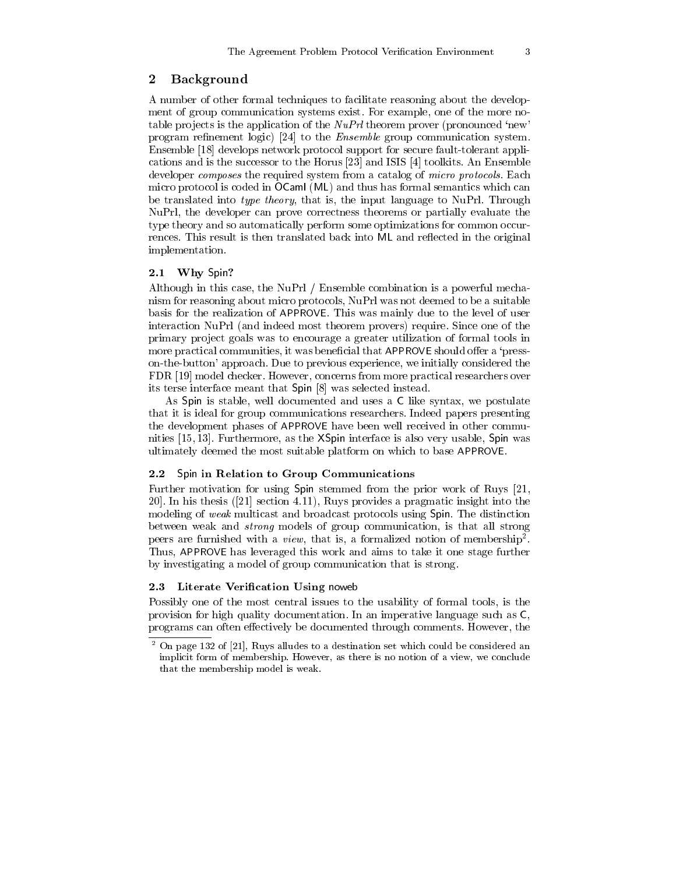# 2 Background

A number of other formal techniques to facilitate reasoning about the development of group communication systems exist. For example, one of the more notable projects is the application of the  $NuPrl$  theorem prover (pronounced 'new' program refinement logic)  $[24]$  to the *Ensemble* group communication system. Ensemble [18] develops network protocol support for secure fault-tolerant applications and is the successor to the Horus [23] and ISIS [4] toolkits. An Ensemble developer *composes* the required system from a catalog of *micro protocols*. Each micro protocol is coded in OCaml (ML) and thus has formal semantics which can be translated into type theory, that is, the input language to NuPrl. Through NuPrl, the developer can prove correctness theorems or partially evaluate the type theory and so automatically perform some optimizations for common occurrences. This result is then translated back into ML and reflected in the original implementation.

## 2.1 Why Spin?

Although in this case, the NuPrl / Ensemble combination is a powerful mechanism for reasoning about micro protocols, NuPrl was not deemed to be a suitable basis for the realization of APPROVE. This was mainly due to the level of user interaction NuPrl (and indeed most theorem provers) require. Since one of the primary pro ject goals was to encourage a greater utilization of formal tools in more practical communities, it was beneficial that APPROVE should offer a 'presson-the-button' approach. Due to previous experience, we initially considered the FDR [19] model checker. However, concerns from more practical researchers over its terse interface meant that Spin [8] was selected instead.

As Spin is stable, well documented and uses a C like syntax, we postulate that it is ideal for group communications researchers. Indeed papers presenting the development phases of APPROVE have been well received in other communities [15, 13]. Furthermore, as the XSpin interface is also very usable, Spin was ultimately deemed the most suitable platform on which to base APPROVE.

#### 2.2 Spin in Relation to Group Communications

Further motivation for using Spin stemmed from the prior work of Ruys [21, 20]. In his thesis ([21] section 4.11), Ruys provides a pragmatic insight into the modeling of weak multicast and broadcast protocols using Spin. The distinction between weak and strong models of group communication, is that all strong peers are furnished with a view, that is, a formalized notion of membership2 . Thus, APPROVE has leveraged this work and aims to take it one stage further by investigating a model of group communication that is strong.

#### 2.3 Literate Verification Using noweb

Possibly one of the most central issues to the usability of formal tools, is the provision for high quality documentation. In an imperative language such as C, programs can often effectively be documented through comments. However, the

<sup>2</sup> On page 132 of [21], Ruys alludes to a destination set which could be considered an implicit form of membership. However, as there is no notion of a view, we conclude that the membership model is weak.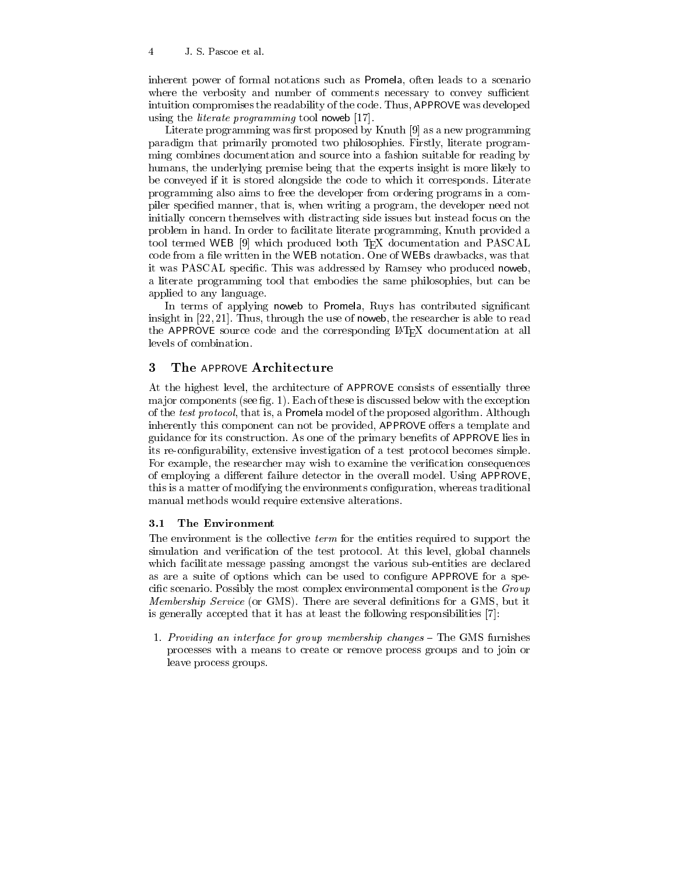inherent power of formal notations such as Promela, often leads to a scenario where the verbosity and number of comments necessary to convey sufficient intuition compromises the readability of the code. Thus, APPROVE was developed using the *literate programming* tool noweb [17].

Literate programming was first proposed by Knuth  $[9]$  as a new programming paradigm that primarily promoted two philosophies. Firstly, literate programming combines documentation and source into a fashion suitable for reading by humans, the underlying premise being that the experts insight is more likely to be conveyed if it is stored alongside the code to which it corresponds. Literate programming also aims to free the developer from ordering programs in a compiler specied manner, that is, when writing a program, the developer need not initially concern themselves with distracting side issues but instead focus on the problem in hand. In order to facilitate literate programming, Knuth provided a tool termed WEB [9] which produced both TFX documentation and PASCAL code from a file written in the WEB notation. One of WEBs drawbacks, was that it was PASCAL specific. This was addressed by Ramsey who produced noweb, a literate programming tool that embodies the same philosophies, but can be applied to any language.

In terms of applying noweb to Promela, Ruys has contributed significant insight in [22, 21]. Thus, through the use of noweb, the researcher is able to read the APPROVE source code and the corresponding LAT<sub>EX</sub> documentation at all levels of combination.

## 3 The APPROVE Architecture

At the highest level, the architecture of APPROVE consists of essentially three major components (see fig. 1). Each of these is discussed below with the exception of the test protocol, that is, a Promela model of the proposed algorithm. Although inherently this component can not be provided, APPROVE offers a template and guidance for its construction. As one of the primary benets of APPROVE lies in its re-congurability, extensive investigation of a test protocol becomes simple. For example, the researcher may wish to examine the verification consequences of employing a different failure detector in the overall model. Using APPROVE, this is a matter of modifying the environments configuration, whereas traditional manual methods would require extensive alterations.

#### 3.1 The Environment

The environment is the collective *term* for the entities required to support the simulation and verification of the test protocol. At this level, global channels which facilitate message passing amongst the various sub-entities are declared as are a suite of options which can be used to configure APPROVE for a specific scenario. Possibly the most complex environmental component is the Group Membership Service (or GMS). There are several definitions for a GMS, but it is generally accepted that it has at least the following responsibilities [7]:

1. Providing an interface for group membership changes – The GMS furnishes processes with a means to create or remove process groups and to join or leave process groups.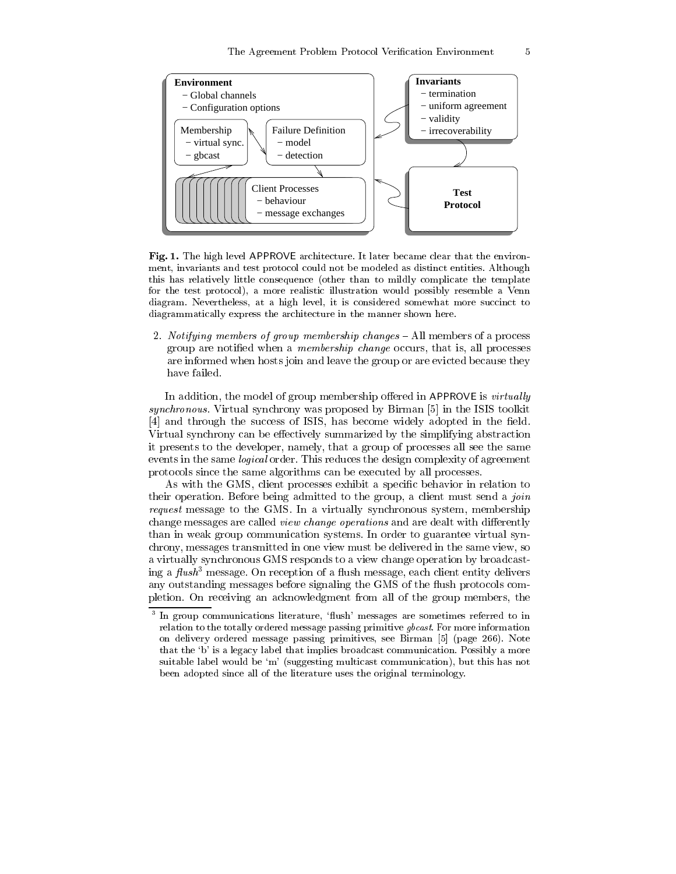

Fig. 1. The high level APPROVE architecture. It later became clear that the environ ment, invariants and test protocol could not be modeled as distinct entities. Although this has relatively little consequence (other than to mildly complicate the template for the test protocol), a more realistic illustration would possibly resemble a Venn diagram. Nevertheless, at a high level, it is considered somewhat more succinct to diagrammatically express the architecture in the manner shown here.

2. Notifying members of group membership changes  $-$  All members of a process group are notied when a membership change occurs, that is, all processes are informed when hosts join and leave the group or are evicted because they have failed.

In addition, the model of group membership offered in APPROVE is *virtually* synchronous. Virtual synchrony was proposed by Birman [5] in the ISIS toolkit [4] and through the success of ISIS, has become widely adopted in the field. Virtual synchrony can be effectively summarized by the simplifying abstraction it presents to the developer, namely, that a group of processes all see the same events in the same *logical* order. This reduces the design complexity of agreement protocols since the same algorithms can be executed by all processes.

As with the GMS, client processes exhibit a specic behavior in relation to their operation. Before being admitted to the group, a client must send a *join* request message to the GMS. In a virtually synchronous system, membership change messages are called view change operations and are dealt with differently than in weak group communication systems. In order to guarantee virtual synchrony, messages transmitted in one view must be delivered in the same view, so a virtually synchronous GMS responds to a view change operation by broadcasting a  $fluxh^3$  message. On reception of a flush message, each client entity delivers any outstanding messages before signaling the GMS of the flush protocols completion. On receiving an acknowledgment from all of the group members, the

<sup>&</sup>lt;sup>3</sup> In group communications literature, 'flush' messages are sometimes referred to in relation to the totally ordered message passing primitive gbcast. For more information on delivery ordered message passing primitives, see Birman [5] (page 266). Note that the `b' is a legacy label that implies broadcast communication. Possibly a more suitable label would be 'm' (suggesting multicast communication), but this has not been adopted since all of the literature uses the original terminology.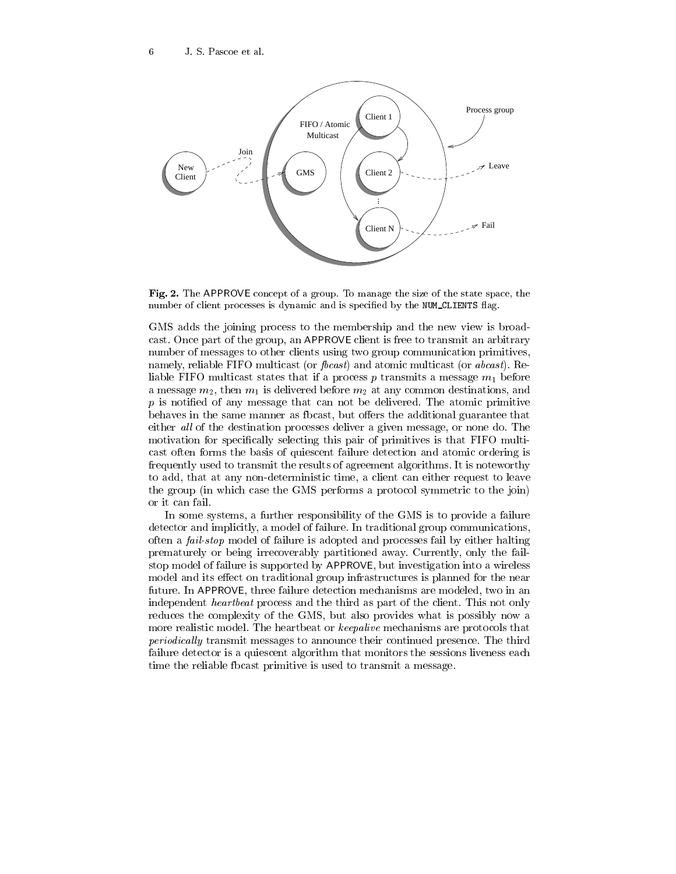

Fig. 2. The APPROVE concept of a group. To manage the size of the state space, the number of client processes is dynamic and is specified by the NUM\_CLIENTS flag.

GMS adds the joining process to the membership and the new view is broadcast. Once part of the group, an APPROVE client is free to transmit an arbitrary number of messages to other clients using two group communication primitives, namely, reliable FIFO multicast (or *fbcast*) and atomic multicast (or *abcast*). Reliable FIFO multicast states that if a process p transmits a message  $m_1$  before a message  $m_2$ , then  $m_1$  is delivered before  $m_2$  at any common destinations, and  $p$  is notified of any message that can not be delivered. The atomic primitive behaves in the same manner as fbcast, but offers the additional guarantee that either all of the destination processes deliver a given message, or none do. The motivation for specically selecting this pair of primitives is that FIFO multicast often forms the basis of quiescent failure detection and atomic ordering is frequently used to transmit the results of agreement algorithms. It is noteworthy to add, that at any non-deterministic time, a client can either request to leave the group (in which case the GMS performs a protocol symmetric to the join) or it can fail.

In some systems, a further responsibility of the GMS is to provide a failure detector and implicitly, a model of failure. In traditional group communications, often a fail-stop model of failure is adopted and processes fail by either halting prematurely or being irrecoverably partitioned away. Currently, only the failstop model of failure is supported by APPROVE, but investigation into a wireless model and its effect on traditional group infrastructures is planned for the near future. In APPROVE, three failure detection mechanisms are modeled, two in an independent heartbeat process and the third as part of the client. This not only reduces the complexity of the GMS, but also provides what is possibly now a more realistic model. The heartbeat or *keepalive* mechanisms are protocols that periodically transmit messages to announce their continued presence. The third failure detector is a quiescent algorithm that monitors the sessions liveness each time the reliable fbcast primitive is used to transmit a message.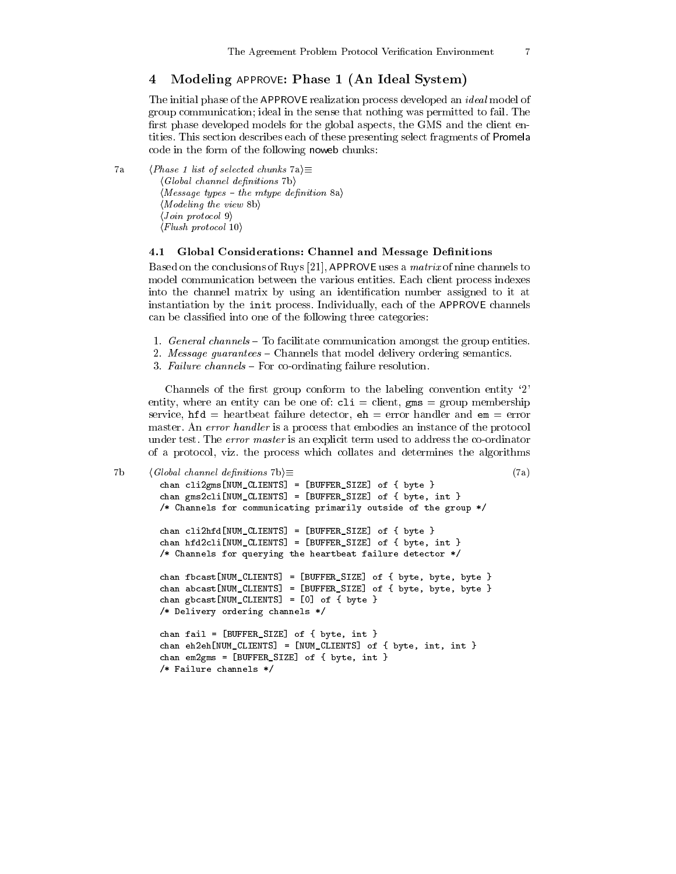#### Modeling APPROVE: Phase 1 (An Ideal System)  $\overline{\mathbf{4}}$

The initial phase of the APPROVE realization process developed an *ideal* model of group communication; ideal in the sense that nothing was permitted to fail. The first phase developed models for the global aspects, the GMS and the client entities. This section describes each of these presenting select fragments of Promela code in the form of the following noweb chunks:

7a (*Phase 1 list of selected chunks* 7a) $\equiv$  $Global channel definitions 7b$  $\langle Message\ types -\ the\ mtype\ definition\ 8a \rangle$  $\langle$  *Modeling the view* 8b) *Join protocol* 9)  $\langle$ Flush protocol 10 $\rangle$ 

## 4.1 Global Considerations: Channel and Message Definitions

Based on the conclusions of Ruys [21], APPROVE uses a matrix of nine channels to model communication between the various entities. Each client process indexes into the channel matrix by using an identication number assigned to it at instantiation by the init process. Individually, each of the APPROVE channels can be classied into one of the following three categories:

- 1. General channels  $-$  To facilitate communication amongst the group entities.
- 2. *Message quarantees*  ${\rm -}$  Channels that model delivery ordering semantics.
- 3. Failure channels  $-$  For co-ordinating failure resolution.

Channels of the first group conform to the labeling convention entity  $2$ entity, where an entity can be one of:  $c1i =$  client, gms = group membership service, hfd = heartbeat failure detector,  $eh$  = error handler and  $em$  = error master. An error handler is a process that embodies an instance of the protocol under test. The *error master* is an explicit term used to address the co-ordinator of a protocol, viz. the process which collates and determines the algorithms

```
7b \qquad (Global channel \ definitions \ 7b) \equiv (7a)
 chan cli2gms[NUM_CLIENTS] = [BUFFER_SIZE] of { byte }
 chan gms2cli[NUM_CLIENTS] = [BUFFER_SIZE] of { byte, int }
 /* Channels for communicating primarily outside of the group */
 chan cli2hfd[NUM_CLIENTS] = [BUFFER_SIZE] of { byte }
 chan hfd2cli[NUM_CLIENTS] = [BUFFER_SIZE] of { byte, int }
 /* Channels for querying the heartbeat failure detector */
 chan fbcast[NUM_CLIENTS] = [BUFFER_SIZE] of { byte, byte, byte }
 chan abcast[NUM_CLIENTS] = [BUFFER_SIZE] of { byte, byte, byte }
 chan gbcast[NUM_CLIENTS] = [0] of \{ byte \}/* Delivery ordering channels */
 chan fail = [BUFFER_SIZE] of { byte, int }
 chan eh2eh[NUM_CLIENTS] = [NUM_CLIENTS] of { byte, int, int }
 chan em2gms = [BUFFER_SIZE] of { byte, int }
 /* Failure channels */
```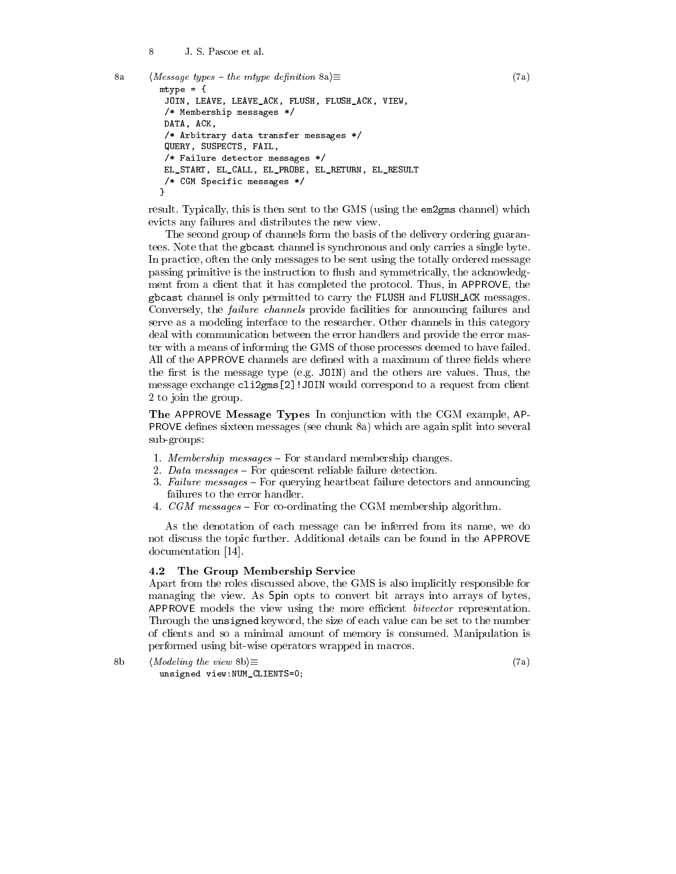8 J. S. Pascoe et al.

```
8a \langle Message types – the mtype definition 8a) \equiv (7a)
 mtype = {JOIN, LEAVE, LEAVE_ACK, FLUSH, FLUSH_ACK, VIEW,
  /* Membership messages */
  DATA, ACK,
  /* Arbitrary data transfer messages */
  QUERY, SUSPECTS, FAIL,
  /* Failure detector messages */
  EL_START, EL_CALL, EL_PROBE, EL_RETURN, EL_RESULT
  /* CGM Specific messages */
 λ
 }
```
result. Typically, this is then sent to the GMS (using the em2gms channel) which evicts any failures and distributes the new view.

The second group of channels form the basis of the delivery ordering guarantees. Note that the gbcast channel is synchronous and only carries a single byte. In practice, often the only messages to be sent using the totally ordered message passing primitive is the instruction to flush and symmetrically, the acknowledgment from a client that it has completed the protocol. Thus, in APPROVE, the gbcast channel is only permitted to carry the FLUSH and FLUSH ACK messages. Conversely, the failure channels provide facilities for announcing failures and serve as a modeling interface to the researcher. Other channels in this category deal with communication between the error handlers and provide the error master with a means of informing the GMS of those processes deemed to have failed. All of the APPROVE channels are defined with a maximum of three fields where the first is the message type (e.g.  $Jojn$ ) and the others are values. Thus, the message exchange cli2gms[2]!JOIN would correspond to a request from client 2 to join the group.

The APPROVE Message Types In conjunction with the CGM example, AP-PROVE defines sixteen messages (see chunk 8a) which are again split into several sub-groups:

- 1. Membership messages  $=$  For standard membership changes.
- 2. Data  $messages For quiescent reliable failure detection.$
- 3. Failure messages For querying heartbeat failure detectors and announcing failures to the error handler.
- 4.  $CGM$  messages For co-ordinating the CGM membership algorithm.

As the denotation of each message can be inferred from its name, we do not discuss the topic further. Additional details can be found in the APPROVE documentation [14].

#### $4.2$ The Group Membership Service

Apart from the roles discussed above, the GMS is also implicitly responsible for managing the view. As Spin opts to convert bit arrays into arrays of bytes, APPROVE models the view using the more efficient *bitvector* representation. Through the unsigned keyword, the size of each value can be set to the number of clients and so a minimal amount of memory is consumed. Manipulation is performed using bit-wise operators wrapped in macros.

8b  $\langle Modeling\ the\ view\ 8b \rangle \equiv$  (7a) unsigned view:NUM\_CLIENTS=0;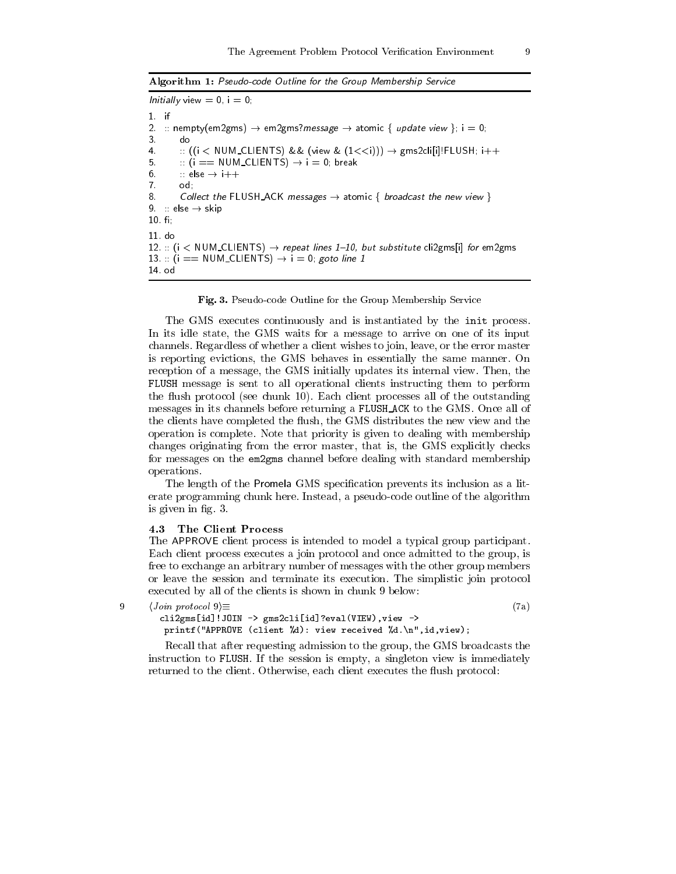Algorithm 1: Pseudo-code Outline for the Group Membership Service

Initially view = 0, i = 0; 1. if 2. :: nempty(em2gms)  $\rightarrow$  em2gms?*message*  $\rightarrow$  atomic { update view }; i = 0; 3. do 4. ::  $((i < NUM\_CLIENTS) \& (view \& (1<$ 5. :: ( $i == NUM\_CLIENTS$ )  $\rightarrow i = 0$ ; break 6 :: else  $\rightarrow$  i++ od: 7. od 2002. godine i postali s na od 2002. godine i postali s na od 2002. godine i postali s na od 2003. godin 8. Collect the FLUSH ACK messages  $\rightarrow$  atomic { broadcast the new view } 9  $\therefore$  else  $\rightarrow$  skip  $10$  fi;  $11$  do 12. :: (i < NUM\_CLIENTS)  $\rightarrow$  repeat lines 1-10, but substitute cli2gms[i] for em2gms 13 :: (i == NUM\_CLIENTS)  $\rightarrow$  i = 0; goto line 1  $14.$  od

Fig. 3. Pseudo-code Outline for the Group Membership Service

The GMS executes continuously and is instantiated by the init process. In its idle state, the GMS waits for a message to arrive on one of its input channels. Regardless of whether a client wishes to join, leave, or the error master is reporting evictions, the GMS behaves in essentially the same manner. On reception of a message, the GMS initially updates its internal view. Then, the FLUSH message is sent to all operational clients instructing them to perform the flush protocol (see chunk 10). Each client processes all of the outstanding messages in its channels before returning a FLUSH ACK to the GMS. Once all of the clients have completed the flush, the GMS distributes the new view and the operation is complete. Note that priority is given to dealing with membership changes originating from the error master, that is, the GMS explicitly checks for messages on the em2gms channel before dealing with standard membership operations.

The length of the Promela GMS specification prevents its inclusion as a literate programming chunk here. Instead, a pseudo-code outline of the algorithm is given in g. 3.

#### 4.3 The Client Process

The APPROVE client process is intended to model a typical group participant. Each client process executes a join protocol and once admitted to the group, is free to exchange an arbitrary number of messages with the other group members or leave the session and terminate its execution. The simplistic join protocol executed by all of the clients is shown in chunk 9 below:

```
9 \langle Join\,protocol\,9\rangle \equiv (7a)
```
cli2gms[id]!JOIN -> gms2cli[id]?eval(VIEW),view -> printf("APPROVE (client %d): view received %d.\n",id,view);

Recall that after requesting admission to the group, the GMS broadcasts the instruction to FLUSH. If the session is empty, a singleton view is immediately returned to the client. Otherwise, each client executes the flush protocol: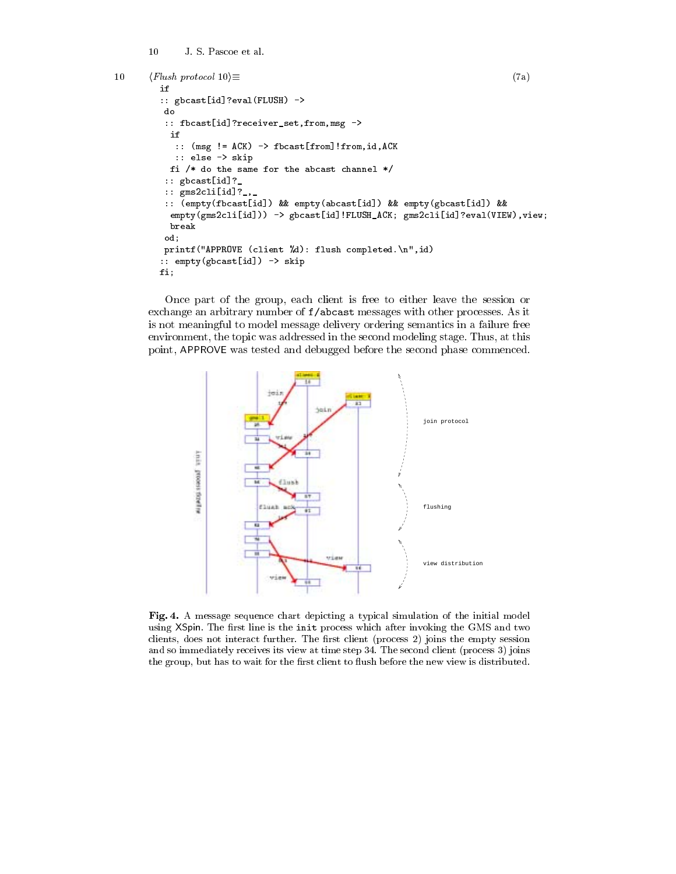```
10 \langle Flush protocol 10\rangle \equiv (7a)
 if
 :: gbcast[id]?eval(FLUSH) ->
  :: fbcast[id]?receiver_set,from,msg ->
   if
    :: (msg != ACK) -> fbcast[from]!from,id,ACK
    :: else -> skip
  fi /* do the same for the abcast channel */
  :: gbcast[id]?_
  :: gms2cli[id]?_,_
  :: (empty(fbcast[id]) && empty(abcast[id]) && empty(gbcast[id]) &&
  empty(gms2cli[id])) -> gbcast[id]!FLUSH_ACK; gms2cli[id]?eval(VIEW),view;
  break
  od;
 printf("APPROVE (client %d): flush completed.\n",id)
 :: empty(gbcast[id]) -> skip
fi;
```
Once part of the group, each client is free to either leave the session or exchange an arbitrary number of f/abcast messages with other processes. As it is not meaningful to model message delivery ordering semantics in a failure free environment, the topic was addressed in the second modeling stage. Thus, at this point, APPROVE was tested and debugged before the second phase commenced.



Fig. 4. A message sequence chart depicting a typical simulation of the initial model using XSpin. The first line is the init process which after invoking the GMS and two clients, does not interact further. The first client (process 2) joins the empty session and so immediately receives its view at time step 34. The second client (process 3) joins the group, but has to wait for the first client to flush before the new view is distributed.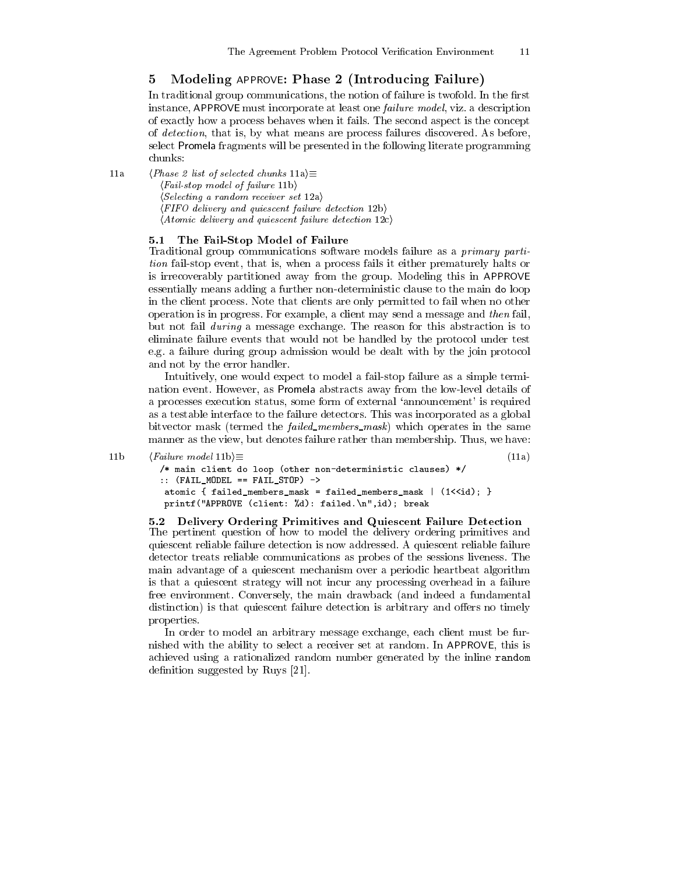#### 5 Modeling APPROVE: Phase 2 (Introducing Failure) 5

In traditional group communications, the notion of failure is twofold. In the first instance, APPROVE must incorporate at least one failure model, viz. a description of exactly how a process behaves when it fails. The second aspect is the concept of detection, that is, by what means are process failures discovered. As before, select Promela fragments will be presented in the following literate programming chunks:

11a (*Phase 2 list of selected chunks*  $11a \equiv$ 

 $\langle \textit{Tail-stop model of failure 11b} \rangle$ 

 $\langle \textit{Selecting a random receiver set 12a} \rangle$ 

 $\langle$  FIFO delivery and quiescent failure detection 12b)

 $\langle Atomic\ delivery\ and\ quiescent\ failure\ detection\ 12c\rangle$ 

## 5.1 The Fail-Stop Model of Failure

Traditional group communications software models failure as a primary partition fail-stop event, that is, when a process fails it either prematurely halts or is irrecoverably partitioned away from the group. Modeling this in APPROVE essentially means adding a further non-deterministic clause to the main do loop in the client process. Note that clients are only permitted to fail when no other operation is in progress. For example, a client may send a message and then fail, but not fail *during* a message exchange. The reason for this abstraction is to eliminate failure events that would not be handled by the protocol under test e.g. a failure during group admission would be dealt with by the join protocol and not by the error handler.

Intuitively, one would expect to model a fail-stop failure as a simple termination event. However, as Promela abstracts away from the low-level details of a processes execution status, some form of external `announcement' is required as a testable interface to the failure detectors. This was incorporated as a global bitvector mask (termed the *failed\_members\_mask*) which operates in the same manner as the view, but denotes failure rather than membership. Thus, we have:

11b  $\langle \textit{Failure model 11b} \rangle \equiv$  (11a) /\* main client do loop (other non-deterministic clauses) \*/ :: (FAIL\_MODEL == FAIL\_STOP) -> atomic { failed\_members\_mask = failed\_members\_mask |  $(1 \leq i d)$ ; } printf("APPROVE (client: %d): failed.\n",id); break

#### 5.2 Delivery Ordering Primitives and Quiescent Failure Detection

The pertinent question of how to model the delivery ordering primitives and quiescent reliable failure detection is now addressed. A quiescent reliable failure detector treats reliable communications as probes of the sessions liveness. The main advantage of a quiescent mechanism over a periodic heartbeat algorithm is that a quiescent strategy will not incur any processing overhead in a failure free environment. Conversely, the main drawback (and indeed a fundamental distinction) is that quiescent failure detection is arbitrary and offers no timely properties.

In order to model an arbitrary message exchange, each client must be furnished with the ability to select a receiver set at random. In APPROVE, this is achieved using a rationalized random number generated by the inline random definition suggested by Ruys  $[21]$ .

 $11$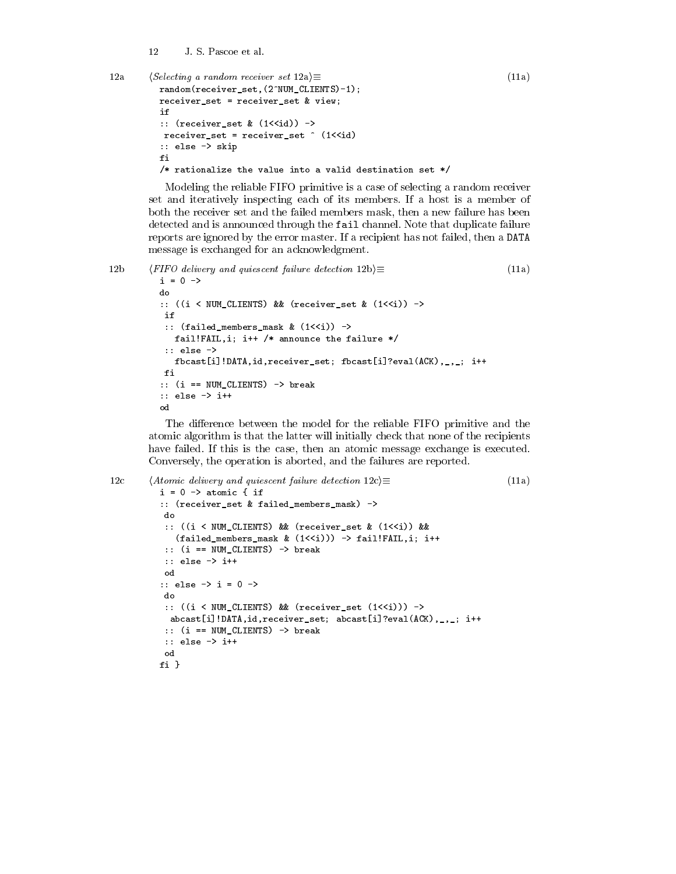12 J. S. Pascoe et al.

```
12a \langle Selecting \ a \ random \ receiver \ set \ 12a \rangle \equiv (11a)
   random(receiver_set,(2^NUM_CLIENTS)-1);
   receiver_set = receiver_set & view;
   if
   \therefore (receiver_set & (1<<id)) ->
   receiver_set = receiver_set ^ (1<<id)
   :: else -> skip
  fi
   /* rationalize the value into a valid destination set */
```
Modeling the reliable FIFO primitive is a case of selecting a random receiver set and iteratively inspecting each of its members. If a host is a member of both the receiver set and the failed members mask, then a new failure has been detected and is announced through the fail channel. Note that duplicate failure reports are ignored by the error master. If a recipient has not failed, then a DATA message is exchanged for an acknowledgment.

```
12b \langle FIFO delivery and quiescent failure detection 12b\rangle \equiv (11a)
   i = 0 - \ge 1do
   :: ((i < NUM_CLIENTS) && (receiver_set & (1<<i)) ->
    if
    :: (failed_members_mask & (1<<i)) ->
      fail!FAIL,i; i++ /* announce the failure */
    \therefore else \rightarrowfbcast[i]!DATA,id,receiver_set; fbcast[i]?eval(ACK),_,_; i++
    fi
   :: (i == NUM_CLIENTS) -> break
   :: else -> i++
```
The difference between the model for the reliable FIFO primitive and the atomic algorithm is that the latter will initially check that none of the recipients have failed. If this is the case, then an atomic message exchange is executed. Conversely, the operation is aborted, and the failures are reported.

```
12c \langle Atomic delivery and quiescent failure detection 12c\rangle \equiv (11a)
   i = 0 \rightarrow atomic { if
   :: (receiver_set & failed_members_mask) ->
    do
    :: ((i < NUM_CLIENTS) && (receiver_set & (1<<i)) &&
       (failed_members\_mask & (1<<i))) \rightarrow fail!FAIL, i; i++:: (i == NUM_CLIENTS) -> break
    :: else -> i++
   :: else -> i = 0 ->
    :: ((i < NUM_CLIENTS) && (receiver_set (1<<i))) ->
     abcast[i]!DATA,id,receiver_set; abcast[i]?eval(ACK),_,_; i++
    :: (i == NUM_CLIENTS) -> break
    :: else -> i++
    <sub>o</sub>d
   fi \lambda \lambda
```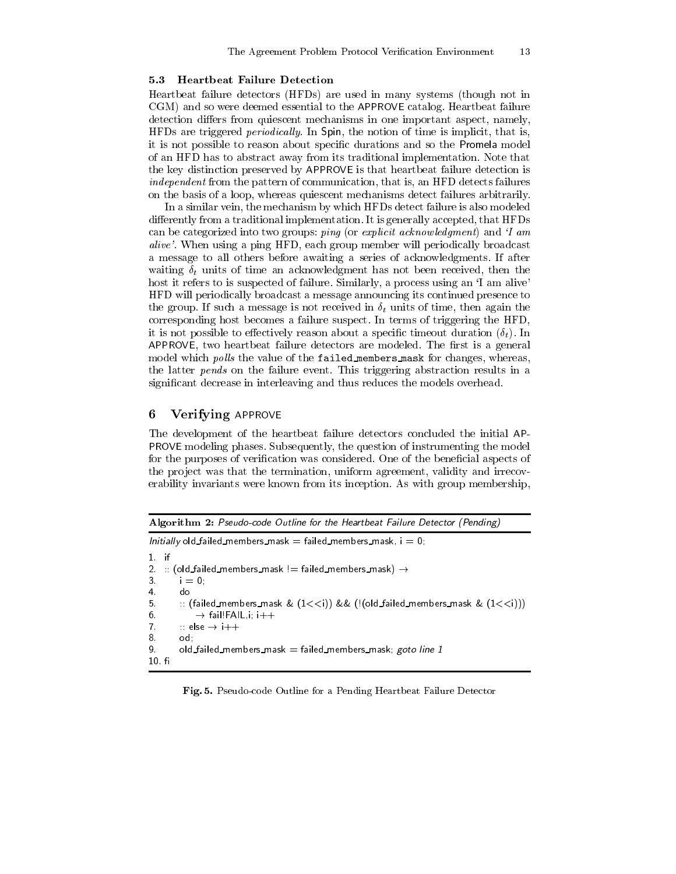## 5.3 Heartbeat Failure Detection

Heartbeat failure detectors (HFDs) are used in many systems (though not in CGM) and so were deemed essential to the APPROVE catalog. Heartbeat failure detection differs from quiescent mechanisms in one important aspect, namely, HFDs are triggered *periodically*. In Spin, the notion of time is implicit, that is, it is not possible to reason about specic durations and so the Promela model of an HFD has to abstract away from its traditional implementation. Note that the key distinction preserved by APPROVE is that heartbeat failure detection is independent from the pattern of communication, that is, an HFD detects failures on the basis of a loop, whereas quiescent mechanisms detect failures arbitrarily.

In a similar vein, the mechanism by which HFDs detect failure is also modeled differently from a traditional implementation. It is generally accepted, that HFDs can be categorized into two groups:  $\text{pinq}$  (or explicit acknowledgment) and 'I am alive'. When using a ping HFD, each group member will periodically broadcast a message to all others before awaiting a series of acknowledgments. If after waiting  $\delta_t$  units of time an acknowledgment has not been received, then the host it refers to is suspected of failure. Similarly, a process using an 'I am alive' HFD will periodically broadcast a message announcing its continued presence to the group. If such a message is not received in  $\delta_t$  units of time, then again the corresponding host becomes a failure suspect. In terms of triggering the HFD, it is not possible to effectively reason about a specific timeout duration  $(\delta_t)$ . In APPROVE, two heartbeat failure detectors are modeled. The first is a general model which *polls* the value of the failed members mask for changes, whereas, the latter pends on the failure event. This triggering abstraction results in a signicant decrease in interleaving and thus reduces the models overhead.

# 6 Verifying APPROVE

The development of the heartbeat failure detectors concluded the initial AP-PROVE modeling phases. Subsequently, the question of instrumenting the model for the purposes of verification was considered. One of the beneficial aspects of the project was that the termination, uniform agreement, validity and irrecoverability invariants were known from its inception. As with group membership,

Algorithm 2: Pseudo-code Outline for the Heartbeat Failure Detector (Pending)

Initially old failed members mask = failed members mask, i = 0; 1. if 2.  $\therefore$  (old failed members mask != failed members mask)  $\rightarrow$  $3 \qquad i = 0;$  $4<sup>1</sup>$  $d<sub>o</sub>$ 5.  $\therefore$  (failed members mask &  $(1 \lt < i)$ ) &&  $($ !(old failed members mask &  $(1 \lt < i)$ )) 6.  $\rightarrow$  fail!FAIL, i; i++ 7.  $\cdot\cdot\cdot$  else  $\rightarrow$  i++ 8. od; 9. old failed members mask  $=$  failed members mask; goto line 1 10. 

Fig. 5. Pseudo-code Outline for a Pending Heartbeat Failure Detector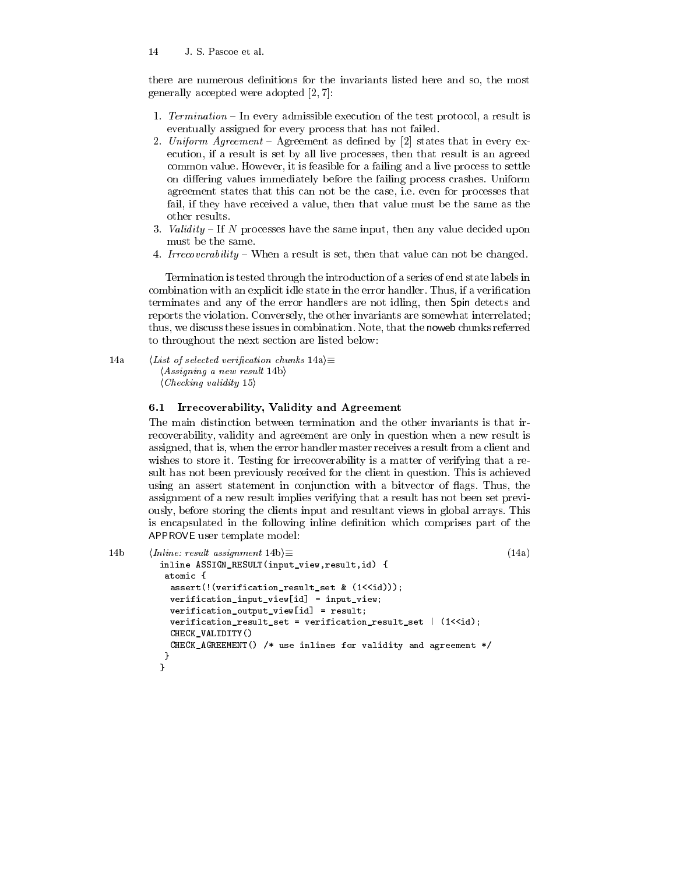there are numerous definitions for the invariants listed here and so, the most generally accepted were adopted [2, 7]:

- 1. Termination  ${\cal -}$  In every admissible execution of the test protocol, a result is eventually assigned for every process that has not failed.
- 2. Uniform  $Agreement Agreement$  as defined by [2] states that in every execution, if a result is set by all live processes, then that result is an agreed common value. However, it is feasible for a failing and a live process to settle on differing values immediately before the failing process crashes. Uniform agreement states that this can not be the case, i.e. even for processes that fail, if they have received a value, then that value must be the same as the other results.
- 3. Validity  $-$  If N processes have the same input, then any value decided upon must be the same.
- 4. Irrecoverability  $-$  When a result is set, then that value can not be changed.

Termination is tested through the introduction of a series of end state labels in combination with an explicit idle state in the error handler. Thus, if a verication terminates and any of the error handlers are not idling, then Spin detects and reports the violation. Conversely, the other invariants are somewhat interrelated; thus, we discuss these issues in combination. Note, that the noweb chunks referred to throughout the next section are listed below:

14a (List of selected verification chunks  $14a \equiv$  $\langle Assigning\ a\ new\ result\ 14b\rangle$  $\langle \text{Checking validity 15} \rangle$ 

## 6.1 Irrecoverability, Validity and Agreement

The main distinction between termination and the other invariants is that irrecoverability, validity and agreement are only in question when a new result is assigned, that is, when the error handler master receives a result from a client and wishes to store it. Testing for irrecoverability is a matter of verifying that a result has not been previously received for the client in question. This is achieved using an assert statement in conjunction with a bitvector of flags. Thus, the assignment of a new result implies verifying that a result has not been set previously, before storing the clients input and resultant views in global arrays. This is encapsulated in the following inline denition which comprises part of the APPROVE user template model:

```
14b \langle\text{Inline:} \text{ result assignment 14b}\rangle \equiv (14a)
           inline ASSIGN_RESULT(input_view,result,id) {
             \blacksquare . \blacksquare . \blacksquare . \blacksquare . \blacksquare . \blacksquare . \blacksquare . \blacksquare . \blacksquare . \blacksquare . \blacksquare . \blacksquare . \blacksquare . \blacksquare . \blacksquare . \blacksquare . \blacksquare . \blacksquare . \blacksquare . \blacksquare . \blacksquare . \blacksquare . \blacksquare . \blacksquare . \blacksquareassert(!(verification_result_set & (1<<id)));
              verification_input_view[id] = input_view;
              verification_output_view[id] = result;
              verification_result_set = verification_result_set | (1 \leq id);
              CHECK_VALIDITY()
              CHECK_AGREEMENT() /* use inlines for validity and agreement */
            ŀ
             }
           }
```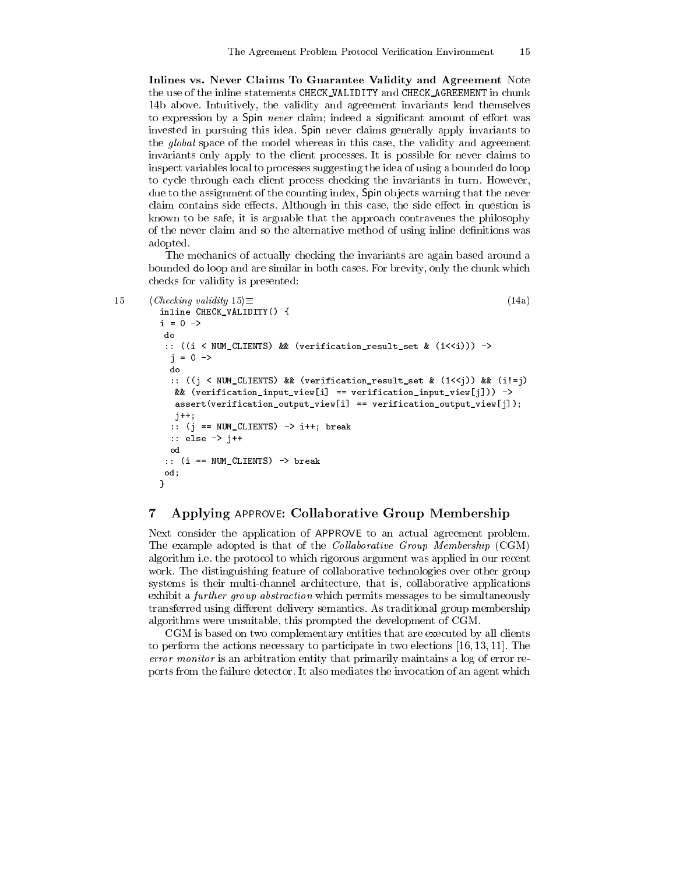Inlines vs. Never Claims To Guarantee Validity and Agreement Note the use of the inline statements CHECK VALIDITY and CHECK AGREEMENT in chunk 14b above. Intuitively, the validity and agreement invariants lend themselves to expression by a Spin *never* claim; indeed a significant amount of effort was invested in pursuing this idea. Spin never claims generally apply invariants to the global space of the model whereas in this case, the validity and agreement invariants only apply to the client processes. It is possible for never claims to inspect variables local to processes suggesting the idea of using a bounded do loop to cycle through each client process checking the invariants in turn. However, due to the assignment of the counting index, Spin objects warning that the never claim contains side effects. Although in this case, the side effect in question is known to be safe, it is arguable that the approach contravenes the philosophy of the never claim and so the alternative method of using inline definitions was adopted.

The mechanics of actually checking the invariants are again based around a bounded do loop and are similar in both cases. For brevity, only the chunk which checks for validity is presented:

}

```
15 \langle \text{Checking validity 15} \rangle \equiv (14a)
 inline CHECK_VALIDITY() {
 i = 0 ->
  do
  :: ((i < NUM_CLIENTS) && (verification_result_set & (1<<i))) ->
   j = 0 ->
   :: ((j < NUM_CLIENTS) && (verification_result_set & (1<<j)) && (i!=j)
   && (verification_input_view[i] == verification_input_view[j])) ->
    assert(verification_output_view[i] == verification_output_view[j]);
   j++;
   :: (j == NUM_CLIENTS) -> i++; break
   :: else -> j++
   od
  :: (i == NUM_CLIENTS) -> break
  od;
```
#### $\overline{7}$ 7 Applying APPROVE: Collaborative Group Membership

Next consider the application of APPROVE to an actual agreement problem. The example adopted is that of the *Collaborative Group Membership* (CGM) algorithm i.e. the protocol to which rigorous argument was applied in our recent work. The distinguishing feature of collaborative technologies over other group systems is their multi-channel architecture, that is, collaborative applications exhibit a *further group abstraction* which permits messages to be simultaneously transferred using different delivery semantics. As traditional group membership algorithms were unsuitable, this prompted the development of CGM.

CGM is based on two complementary entities that are executed by all clients to perform the actions necessary to participate in two elections [16, 13, 11]. The error monitor is an arbitration entity that primarily maintains a log of error reports from the failure detector. It also mediates the invocation of an agent which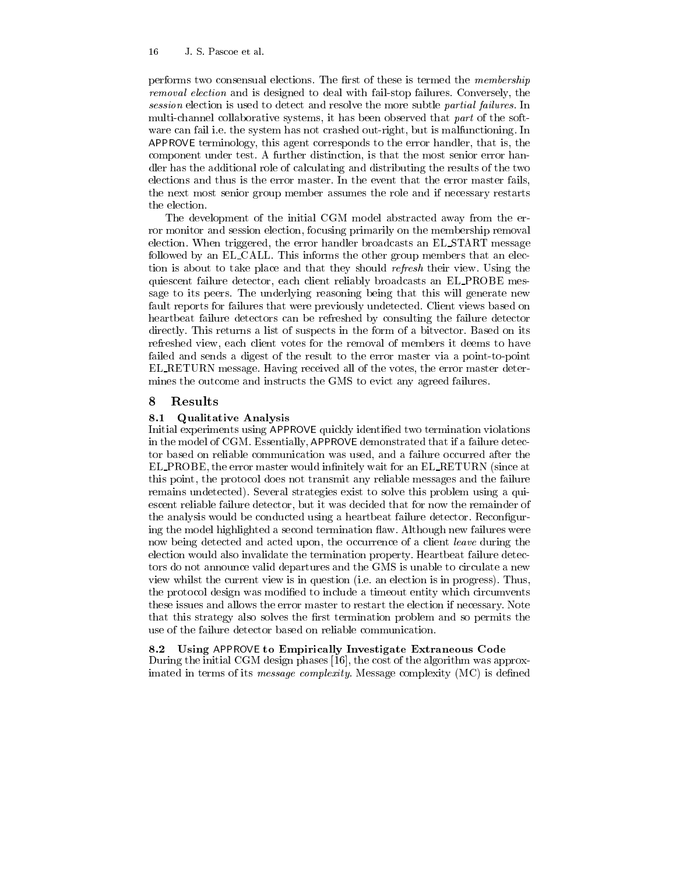performs two consensual elections. The first of these is termed the *membership* removal election and is designed to deal with fail-stop failures. Conversely, the session election is used to detect and resolve the more subtle *partial failures*. In multi-channel collaborative systems, it has been observed that *part* of the software can fail i.e. the system has not crashed out-right, but is malfunctioning. In APPROVE terminology, this agent corresponds to the error handler, that is, the component under test. A further distinction, is that the most senior error handler has the additional role of calculating and distributing the results of the two elections and thus is the error master. In the event that the error master fails, the next most senior group member assumes the role and if necessary restarts the election.

The development of the initial CGM model abstracted away from the error monitor and session election, focusing primarily on the membership removal election. When triggered, the error handler broadcasts an EL START message followed by an EL\_CALL. This informs the other group members that an election is about to take place and that they should *refresh* their view. Using the quiescent failure detector, each client reliably broadcasts an EL PROBE message to its peers. The underlying reasoning being that this will generate new fault reports for failures that were previously undetected. Client views based on heartbeat failure detectors can be refreshed by consulting the failure detector directly. This returns a list of suspects in the form of a bitvector. Based on its refreshed view, each client votes for the removal of members it deems to have failed and sends a digest of the result to the error master via a point-to-point EL RETURN message. Having received all of the votes, the error master determines the outcome and instructs the GMS to evict any agreed failures.

## 8 Results

#### 8.1 Qualitative Analysis

Initial experiments using APPROVE quickly identied two termination violations in the model of CGM. Essentially, APPROVE demonstrated that if a failure detector based on reliable communication was used, and a failure occurred after the EL\_PROBE, the error master would infinitely wait for an EL\_RETURN (since at this point, the protocol does not transmit any reliable messages and the failure remains undetected). Several strategies exist to solve this problem using a quiescent reliable failure detector, but it was decided that for now the remainder of the analysis would be conducted using a heartbeat failure detector. Reconguring the model highlighted a second termination flaw. Although new failures were now being detected and acted upon, the occurrence of a client leave during the election would also invalidate the termination property. Heartbeat failure detectors do not announce valid departures and the GMS is unable to circulate a new view whilst the current view is in question (i.e. an election is in progress). Thus, the protocol design was modified to include a timeout entity which circumvents these issues and allows the error master to restart the election if necessary. Note that this strategy also solves the first termination problem and so permits the use of the failure detector based on reliable communication.

#### 8.2 Using APPROVE to Empirically Investigate Extraneous Code

During the initial CGM design phases [16], the cost of the algorithm was approximated in terms of its *message complexity*. Message complexity (MC) is defined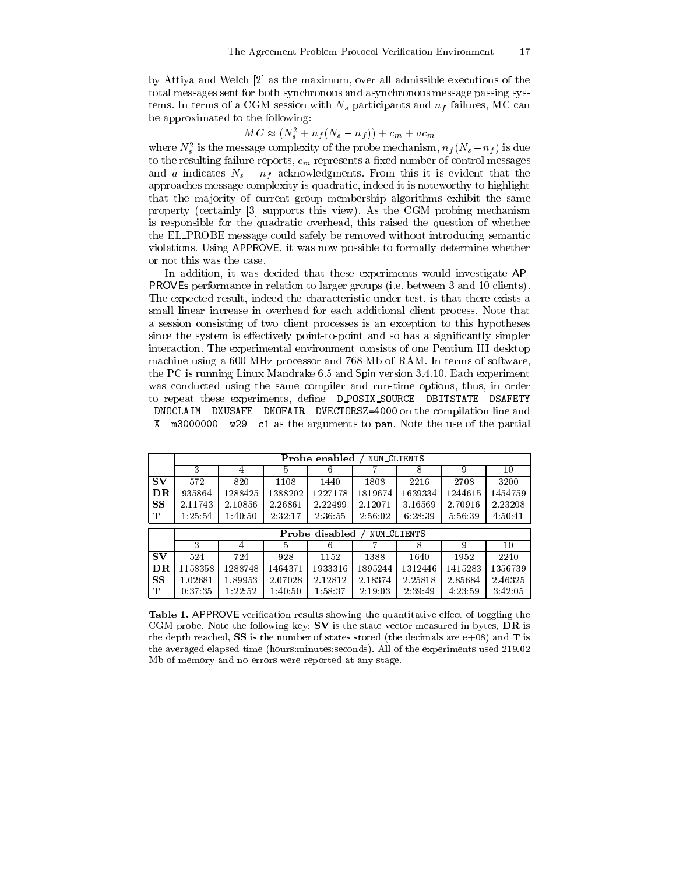17

by Attiya and Welch [2] as the maximum, over all admissible executions of the total messages sent for both synchronous and asynchronous message passing systems. In terms of a CGM session with  $N_s$  participants and  $n_f$  failures, MC can be approximated to the following:

$$
MC \approx (N_s^2 + n_f(N_s - n_f)) + c_m + ac_m
$$

where  $N_s$  is the message complexity of the probe mechanism,  $n_f$  ( $N_s - n_f$ ) is due to the resulting failure reports,  $c_m$  represents a fixed number of control messages and a indicates  $N_s - n_f$  acknowledgments. From this it is evident that the approaches message complexity is quadratic, indeed it is noteworthy to highlight that the ma jority of current group membership algorithms exhibit the same property (certainly [3] supports this view). As the CGM probing mechanism is responsible for the quadratic overhead, this raised the question of whether the EL PROBE message could safely be removed without introducing semantic violations. Using APPROVE, it was now possible to formally determine whether or not this was the case.

In addition, it was decided that these experiments would investigate AP-PROVEs performance in relation to larger groups (i.e. between 3 and 10 clients). The expected result, indeed the characteristic under test, is that there exists a small linear increase in overhead for each additional client process. Note that a session consisting of two client processes is an exception to this hypotheses since the system is effectively point-to-point and so has a significantly simpler interaction. The experimental environment consists of one Pentium III desktop machine using a 600 MHz processor and 768 Mb of RAM. In terms of software, the PC is running Linux Mandrake 6.5 and Spin version 3.4.10. Each experiment was conducted using the same compiler and run-time options, thus, in order to repeat these experiments, define -D\_POSIX\_SOURCE -DBITSTATE -DSAFETY -DNOCLAIM -DXUSAFE -DNOFAIR -DVECTORSZ=4000 on the compilation line and  $-X$  -m3000000 -w29 -c1 as the arguments to pan. Note the use of the partial

|                        | Probe enabled<br>NUM CLIENTS  |         |              |              |         |         |         |         |  |  |
|------------------------|-------------------------------|---------|--------------|--------------|---------|---------|---------|---------|--|--|
|                        | 3                             | 4       | $\mathbf{h}$ | h            |         | 8       | 9       | 10      |  |  |
| $S_{V}$                | 572                           | 820     | 1108         | 1440         | 1808    | 2216    | 2708    | 3200    |  |  |
| DR.                    | 935864                        | 1288425 | 1388202      | 1227178      | 1819674 | 1639334 | 1244615 | 1454759 |  |  |
| SS                     | 2.11743                       | 2.10856 | 2.26861      | 2.22499      | 2.12071 | 3.16569 | 2.70916 | 2.23208 |  |  |
| т                      | 1:25:54                       | 1:40:50 | 2:32:17      | 2:36:55      | 2:56:02 | 6:28:39 | 5:56:39 | 4:50:41 |  |  |
|                        | Probe disabled<br>NUM_CLIENTS |         |              |              |         |         |         |         |  |  |
|                        |                               |         |              |              |         |         |         |         |  |  |
|                        | 3                             | 4       | Ð.           | <sub>6</sub> |         | 8       | 9       | 10      |  |  |
| $\mathbf{S}\mathbf{V}$ | 524                           | 724     | 928          | 1152         | 1388    | 1640    | 1952    | 2240    |  |  |
| DR.                    | 1158358                       | 1288748 | 1464371      | 1933316      | 1895244 | 1312446 | 1415283 | 1356739 |  |  |
| SS                     | 1.02681                       | 1.89953 | 2.07028      | 2.12812      | 2.18374 | 2.25818 | 2.85684 | 2.46325 |  |  |

Table 1. APPROVE verification results showing the quantitative effect of toggling the CGM probe. Note the following key:  $SV$  is the state vector measured in bytes,  $DR$  is the depth reached,  $SS$  is the number of states stored (the decimals are  $e+08$ ) and  $T$  is the averaged elapsed time (hours:minutes:seconds). All of the experiments used 219.02 Mb of memory and no errors were reported at any stage.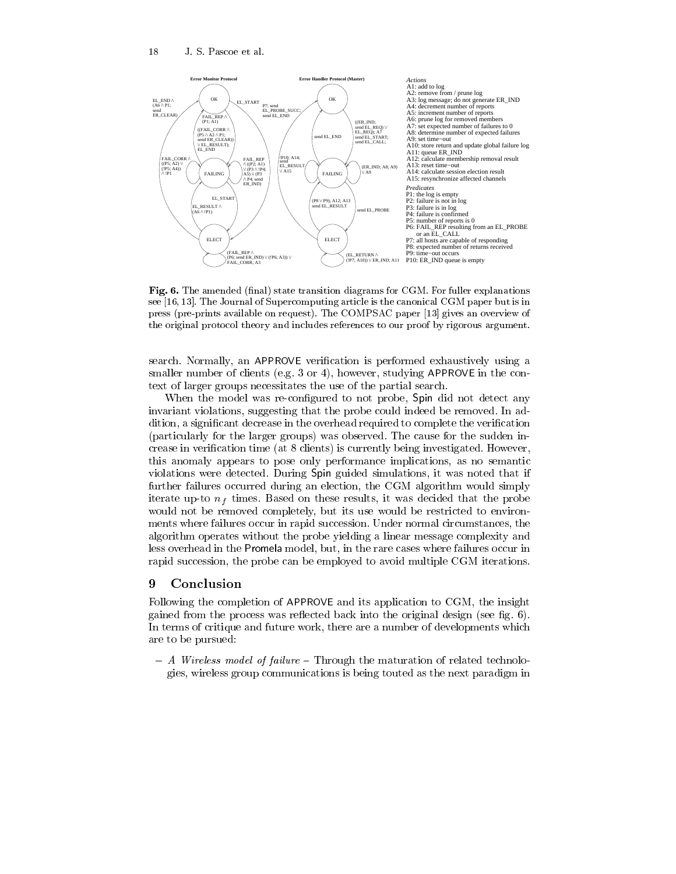

Fig. 6. The amended (final) state transition diagrams for CGM. For fuller explanations see [16, 13]. The Journal of Supercomputing article is the canonical CGM paper but is in press (pre-prints available on request). The COMPSAC paper [13] gives an overview of the original protocol theory and includes references to our proof by rigorous argument.

search. Normally, an APPROVE verification is performed exhaustively using a smaller number of clients (e.g. 3 or 4), however, studying APPROVE in the context of larger groups necessitates the use of the partial search.

When the model was re-configured to not probe, Spin did not detect any invariant violations, suggesting that the probe could indeed be removed. In addition, a significant decrease in the overhead required to complete the verification (particularly for the larger groups) was observed. The cause for the sudden increase in verication time (at 8 clients) is currently being investigated. However, this anomaly appears to pose only performance implications, as no semantic violations were detected. During Spin guided simulations, it was noted that if further failures occurred during an election, the CGM algorithm would simply iterate up-to  $n_f$  times. Based on these results, it was decided that the probe would not be removed completely, but its use would be restricted to environments where failures occur in rapid succession. Under normal circumstances, the algorithm operates without the probe yielding a linear message complexity and less overhead in the Promela model, but, in the rare cases where failures occur in rapid succession, the probe can be employed to avoid multiple CGM iterations.

# 9 Conclusion

Following the completion of APPROVE and its application to CGM, the insight gained from the process was reflected back into the original design (see fig.  $6$ ). In terms of critique and future work, there are a number of developments which are to be pursued:

 ${ - A}$  Wireless model of failure  ${ - }$  Through the maturation of related technologies, wireless group communications is being touted as the next paradigm in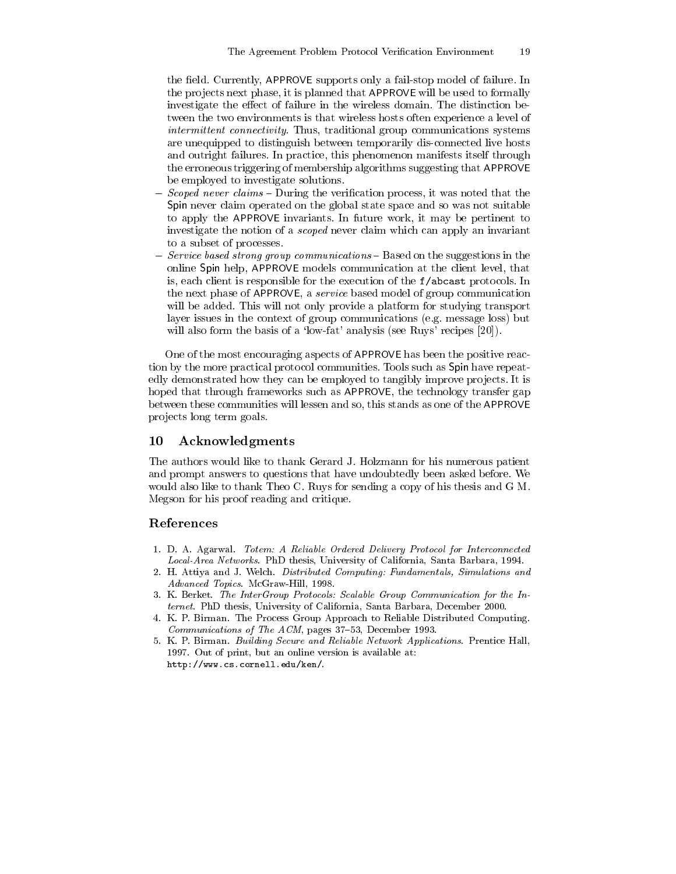the field. Currently, APPROVE supports only a fail-stop model of failure. In the pro jects next phase, it is planned that APPROVE will be used to formally investigate the effect of failure in the wireless domain. The distinction between the two environments is that wireless hosts often experience a level of intermittent connectivity. Thus, traditional group communications systems are unequipped to distinguish between temporarily dis-connected live hosts and outright failures. In practice, this phenomenon manifests itself through the erroneous triggering of membership algorithms suggesting that APPROVE be employed to investigate solutions.

- $-$  Scoped never claims  $-$  During the verification process, it was noted that the Spin never claim operated on the global state space and so was not suitable to apply the APPROVE invariants. In future work, it may be pertinent to investigate the notion of a scoped never claim which can apply an invariant to a subset of processes.
- $Service$  based strong group communications  $-$  Based on the suggestions in the online Spin help, APPROVE models communication at the client level, that is, each client is responsible for the execution of the f/abcast protocols. In the next phase of APPROVE, a service based model of group communication will be added. This will not only provide a platform for studying transport layer issues in the context of group communications (e.g. message loss) but will also form the basis of a 'low-fat' analysis (see Ruys' recipes [20]).

One of the most encouraging aspects of APPROVE has been the positive reaction by the more practical protocol communities. Tools such as Spin have repeatedly demonstrated how they can be employed to tangibly improve projects. It is hoped that through frameworks such as APPROVE, the technology transfer gap between these communities will lessen and so, this stands as one of the APPROVE pro jects long term goals.

#### 10 Acknowledgments

The authors would like to thank Gerard J. Holzmann for his numerous patient and prompt answers to questions that have undoubtedly been asked before. We would also like to thank Theo C. Ruys for sending a copy of his thesis and G M. Megson for his proof reading and critique.

# References

- 1. D. A. Agarwal. Totem: A Reliable Ordered Delivery Protocol for Interconnected Local-Area Networks. PhD thesis, University of California, Santa Barbara, 1994.
- 2. H. Attiya and J. Welch. Distributed Computing: Fundamentals, Simulations and Advanced Topics. McGraw-Hill, 1998.
- 3. K. Berket. The InterGroup Protocols: Scalable Group Communication for the Internet. PhD thesis, University of California, Santa Barbara, December 2000.
- 4. K. P. Birman. The Process Group Approach to Reliable Distributed Computing. Communications of The  $ACM$ , pages 37-53, December 1993.
- 5. K. P. Birman. Building Secure and Reliable Network Applications. Prentice Hall, 1997. Out of print, but an online version is available at: http://www.cs.cornell.edu/ken/.